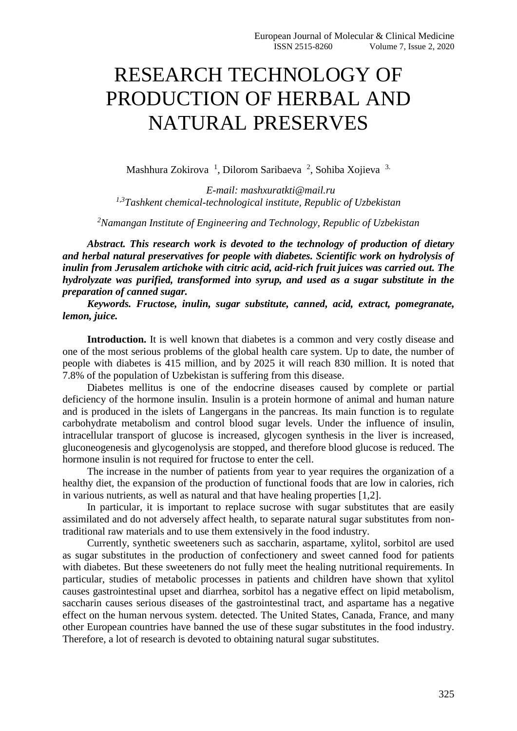## RESEARCH TECHNOLOGY OF PRODUCTION OF HERBAL AND NATURAL PRESERVES

Mashhura Zokirova<sup>1</sup>, Dilorom Saribaeva<sup>2</sup>, Sohiba Xojieva<sup>3.</sup>

*E-mail: mashxuratkti@mail.ru 1,3Tashkent chemical-technological institute, Republic of Uzbekistan*

*<sup>2</sup>Namangan Institute of Engineering and Technology, Republic of Uzbekistan*

*Abstract. This research work is devoted to the technology of production of dietary and herbal natural preservatives for people with diabetes. Scientific work on hydrolysis of inulin from Jerusalem artichoke with citric acid, acid-rich fruit juices was carried out. The hydrolyzate was purified, transformed into syrup, and used as a sugar substitute in the preparation of canned sugar.*

*Keywords. Fructose, inulin, sugar substitute, canned, acid, extract, pomegranate, lemon, juice.*

Introduction. It is well known that diabetes is a common and very costly disease and one of the most serious problems of the global health care system. Up to date, the number of people with diabetes is 415 million, and by 2025 it will reach 830 million. It is noted that 7.8% of the population of Uzbekistan is suffering from this disease.

Diabetes mellitus is one of the endocrine diseases caused by complete or partial deficiency of the hormone insulin. Insulin is a protein hormone of animal and human nature and is produced in the islets of Langergans in the pancreas. Its main function is to regulate carbohydrate metabolism and control blood sugar levels. Under the influence of insulin, intracellular transport of glucose is increased, glycogen synthesis in the liver is increased, gluconeogenesis and glycogenolysis are stopped, and therefore blood glucose is reduced. The hormone insulin is not required for fructose to enter the cell.

The increase in the number of patients from year to year requires the organization of a healthy diet, the expansion of the production of functional foods that are low in calories, rich in various nutrients, as well as natural and that have healing properties [1,2].

In particular, it is important to replace sucrose with sugar substitutes that are easily assimilated and do not adversely affect health, to separate natural sugar substitutes from nontraditional raw materials and to use them extensively in the food industry.

Currently, synthetic sweeteners such as saccharin, aspartame, xylitol, sorbitol are used as sugar substitutes in the production of confectionery and sweet canned food for patients with diabetes. But these sweeteners do not fully meet the healing nutritional requirements. In particular, studies of metabolic processes in patients and children have shown that xylitol causes gastrointestinal upset and diarrhea, sorbitol has a negative effect on lipid metabolism, saccharin causes serious diseases of the gastrointestinal tract, and aspartame has a negative effect on the human nervous system. detected. The United States, Canada, France, and many other European countries have banned the use of these sugar substitutes in the food industry. Therefore, a lot of research is devoted to obtaining natural sugar substitutes.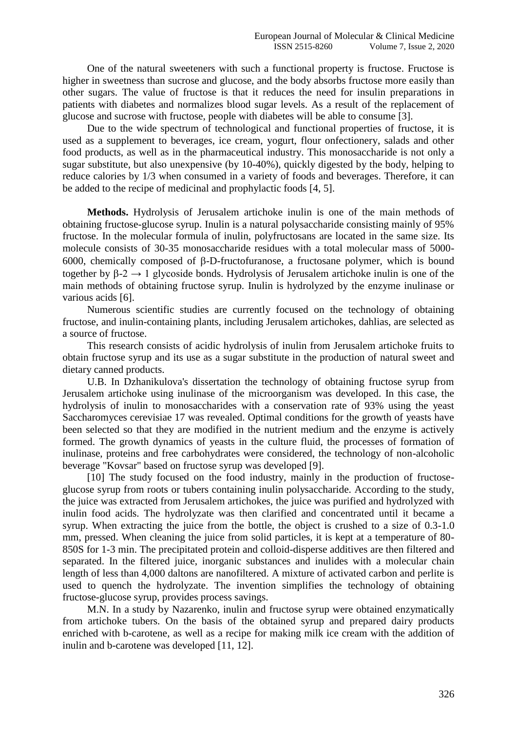One of the natural sweeteners with such a functional property is fructose. Fructose is higher in sweetness than sucrose and glucose, and the body absorbs fructose more easily than other sugars. The value of fructose is that it reduces the need for insulin preparations in patients with diabetes and normalizes blood sugar levels. As a result of the replacement of glucose and sucrose with fructose, people with diabetes will be able to consume [3].

Due to the wide spectrum of technological and functional properties of fructose, it is used as a supplement to beverages, ice cream, yogurt, flour onfectionery, salads and other food products, as well as in the pharmaceutical industry. This monosaccharide is not only a sugar substitute, but also unexpensive (by 10-40%), quickly digested by the body, helping to reduce calories by 1/3 when consumed in a variety of foods and beverages. Therefore, it can be added to the recipe of medicinal and prophylactic foods [4, 5].

**Methods.** Hydrolysis of Jerusalem artichoke inulin is one of the main methods of obtaining fructose-glucose syrup. Inulin is a natural polysaccharide consisting mainly of 95% fructose. In the molecular formula of inulin, polyfructosans are located in the same size. Its molecule consists of 30-35 monosaccharide residues with a total molecular mass of 5000- 6000, chemically composed of  $\beta$ -D-fructofuranose, a fructosane polymer, which is bound together by  $\beta$ -2  $\rightarrow$  1 glycoside bonds. Hydrolysis of Jerusalem artichoke inulin is one of the main methods of obtaining fructose syrup. Inulin is hydrolyzed by the enzyme inulinase or various acids [6].

Numerous scientific studies are currently focused on the technology of obtaining fructose, and inulin-containing plants, including Jerusalem artichokes, dahlias, are selected as a source of fructose.

This research consists of acidic hydrolysis of inulin from Jerusalem artichoke fruits to obtain fructose syrup and its use as a sugar substitute in the production of natural sweet and dietary canned products.

U.B. In Dzhanikulova's dissertation the technology of obtaining fructose syrup from Jerusalem artichoke using inulinase of the microorganism was developed. In this case, the hydrolysis of inulin to monosaccharides with a conservation rate of 93% using the yeast Saccharomyces cerevisiae 17 was revealed. Optimal conditions for the growth of yeasts have been selected so that they are modified in the nutrient medium and the enzyme is actively formed. The growth dynamics of yeasts in the culture fluid, the processes of formation of inulinase, proteins and free carbohydrates were considered, the technology of non-alcoholic beverage "Kovsar" based on fructose syrup was developed [9].

[10] The study focused on the food industry, mainly in the production of fructoseglucose syrup from roots or tubers containing inulin polysaccharide. According to the study, the juice was extracted from Jerusalem artichokes, the juice was purified and hydrolyzed with inulin food acids. The hydrolyzate was then clarified and concentrated until it became a syrup. When extracting the juice from the bottle, the object is crushed to a size of 0.3-1.0 mm, pressed. When cleaning the juice from solid particles, it is kept at a temperature of 80- 850S for 1-3 min. The precipitated protein and colloid-disperse additives are then filtered and separated. In the filtered juice, inorganic substances and inulides with a molecular chain length of less than 4,000 daltons are nanofiltered. A mixture of activated carbon and perlite is used to quench the hydrolyzate. The invention simplifies the technology of obtaining fructose-glucose syrup, provides process savings.

M.N. In a study by Nazarenko, inulin and fructose syrup were obtained enzymatically from artichoke tubers. On the basis of the obtained syrup and prepared dairy products enriched with b-carotene, as well as a recipe for making milk ice cream with the addition of inulin and b-carotene was developed [11, 12].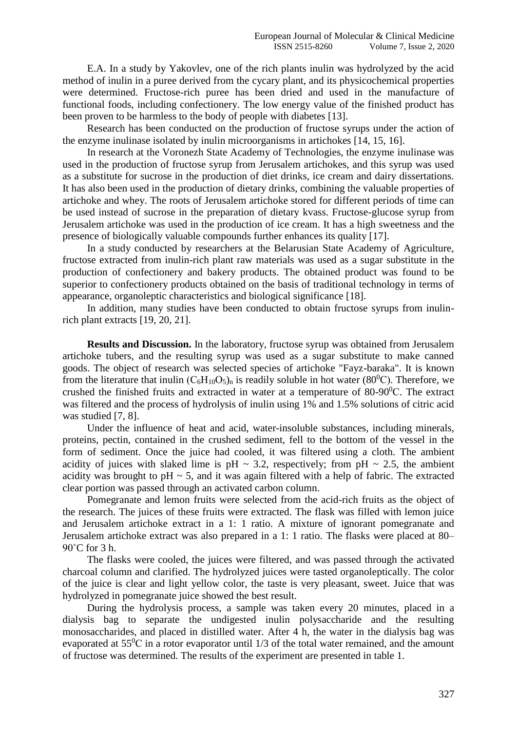E.A. In a study by Yakovlev, one of the rich plants inulin was hydrolyzed by the acid method of inulin in a puree derived from the cycary plant, and its physicochemical properties were determined. Fructose-rich puree has been dried and used in the manufacture of functional foods, including confectionery. The low energy value of the finished product has been proven to be harmless to the body of people with diabetes [13].

Research has been conducted on the production of fructose syrups under the action of the enzyme inulinase isolated by inulin microorganisms in artichokes [14, 15, 16].

In research at the Voronezh State Academy of Technologies, the enzyme inulinase was used in the production of fructose syrup from Jerusalem artichokes, and this syrup was used as a substitute for sucrose in the production of diet drinks, ice cream and dairy dissertations. It has also been used in the production of dietary drinks, combining the valuable properties of artichoke and whey. The roots of Jerusalem artichoke stored for different periods of time can be used instead of sucrose in the preparation of dietary kvass. Fructose-glucose syrup from Jerusalem artichoke was used in the production of ice cream. It has a high sweetness and the presence of biologically valuable compounds further enhances its quality [17].

In a study conducted by researchers at the Belarusian State Academy of Agriculture, fructose extracted from inulin-rich plant raw materials was used as a sugar substitute in the production of confectionery and bakery products. The obtained product was found to be superior to confectionery products obtained on the basis of traditional technology in terms of appearance, organoleptic characteristics and biological significance [18].

In addition, many studies have been conducted to obtain fructose syrups from inulinrich plant extracts [19, 20, 21].

**Results and Discussion.** In the laboratory, fructose syrup was obtained from Jerusalem artichoke tubers, and the resulting syrup was used as a sugar substitute to make canned goods. The object of research was selected species of artichoke "Fayz-baraka". It is known from the literature that inulin  $(C_6H_{10}O_5)_n$  is readily soluble in hot water (80<sup>0</sup>C). Therefore, we crushed the finished fruits and extracted in water at a temperature of  $80-90^{\circ}$ C. The extract was filtered and the process of hydrolysis of inulin using 1% and 1.5% solutions of citric acid was studied [7, 8].

Under the influence of heat and acid, water-insoluble substances, including minerals, proteins, pectin, contained in the crushed sediment, fell to the bottom of the vessel in the form of sediment. Once the juice had cooled, it was filtered using a cloth. The ambient acidity of juices with slaked lime is pH  $\sim$  3.2, respectively; from pH  $\sim$  2.5, the ambient acidity was brought to  $pH \sim 5$ , and it was again filtered with a help of fabric. The extracted clear portion was passed through an activated carbon column.

Pomegranate and lemon fruits were selected from the acid-rich fruits as the object of the research. The juices of these fruits were extracted. The flask was filled with lemon juice and Jerusalem artichoke extract in a 1: 1 ratio. A mixture of ignorant pomegranate and Jerusalem artichoke extract was also prepared in a 1: 1 ratio. The flasks were placed at 80–  $90^{\circ}$ C for 3 h.

The flasks were cooled, the juices were filtered, and was passed through the activated charcoal column and clarified. The hydrolyzed juices were tasted organoleptically. The color of the juice is clear and light yellow color, the taste is very pleasant, sweet. Juice that was hydrolyzed in pomegranate juice showed the best result.

During the hydrolysis process, a sample was taken every 20 minutes, placed in a dialysis bag to separate the undigested inulin polysaccharide and the resulting monosaccharides, and placed in distilled water. After 4 h, the water in the dialysis bag was evaporated at  $55^{\circ}$ C in a rotor evaporator until 1/3 of the total water remained, and the amount of fructose was determined. The results of the experiment are presented in table 1.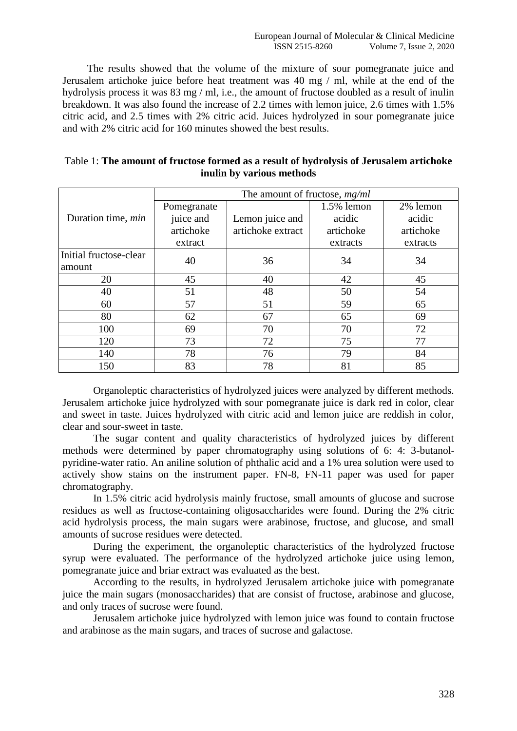The results showed that the volume of the mixture of sour pomegranate juice and Jerusalem artichoke juice before heat treatment was 40 mg / ml, while at the end of the hydrolysis process it was 83 mg / ml, i.e., the amount of fructose doubled as a result of inulin breakdown. It was also found the increase of 2.2 times with lemon juice, 2.6 times with 1.5% citric acid, and 2.5 times with 2% citric acid. Juices hydrolyzed in sour pomegranate juice and with 2% citric acid for 160 minutes showed the best results.

|                           |             | The amount of fructose, $mg/ml$ |               |           |
|---------------------------|-------------|---------------------------------|---------------|-----------|
|                           | Pomegranate |                                 | $1.5\%$ lemon | 2% lemon  |
| Duration time, <i>min</i> | juice and   | Lemon juice and                 | acidic        | acidic    |
|                           | artichoke   | artichoke extract               | artichoke     | artichoke |
|                           | extract     |                                 | extracts      | extracts  |
| Initial fructose-clear    | 40          | 36                              | 34            | 34        |
| amount                    |             |                                 |               |           |
| 20                        | 45          | 40                              | 42            | 45        |
| 40                        | 51          | 48                              | 50            | 54        |
| 60                        | 57          | 51                              | 59            | 65        |
| 80                        | 62          | 67                              | 65            | 69        |
| 100                       | 69          | 70                              | 70            | 72        |
| 120                       | 73          | 72                              | 75            | 77        |
| 140                       | 78          | 76                              | 79            | 84        |
| 150                       | 83          | 78                              | 81            | 85        |

| Table 1: The amount of fructose formed as a result of hydrolysis of Jerusalem artichoke |  |
|-----------------------------------------------------------------------------------------|--|
| inulin by various methods                                                               |  |

Organoleptic characteristics of hydrolyzed juices were analyzed by different methods. Jerusalem artichoke juice hydrolyzed with sour pomegranate juice is dark red in color, clear and sweet in taste. Juices hydrolyzed with citric acid and lemon juice are reddish in color, clear and sour-sweet in taste.

The sugar content and quality characteristics of hydrolyzed juices by different methods were determined by paper chromatography using solutions of 6: 4: 3-butanolpyridine-water ratio. An aniline solution of phthalic acid and a 1% urea solution were used to actively show stains on the instrument paper. FN-8, FN-11 paper was used for paper chromatography.

In 1.5% citric acid hydrolysis mainly fructose, small amounts of glucose and sucrose residues as well as fructose-containing oligosaccharides were found. During the 2% citric acid hydrolysis process, the main sugars were arabinose, fructose, and glucose, and small amounts of sucrose residues were detected.

During the experiment, the organoleptic characteristics of the hydrolyzed fructose syrup were evaluated. The performance of the hydrolyzed artichoke juice using lemon, pomegranate juice and briar extract was evaluated as the best.

According to the results, in hydrolyzed Jerusalem artichoke juice with pomegranate juice the main sugars (monosaccharides) that are consist of fructose, arabinose and glucose, and only traces of sucrose were found.

Jerusalem artichoke juice hydrolyzed with lemon juice was found to contain fructose and arabinose as the main sugars, and traces of sucrose and galactose.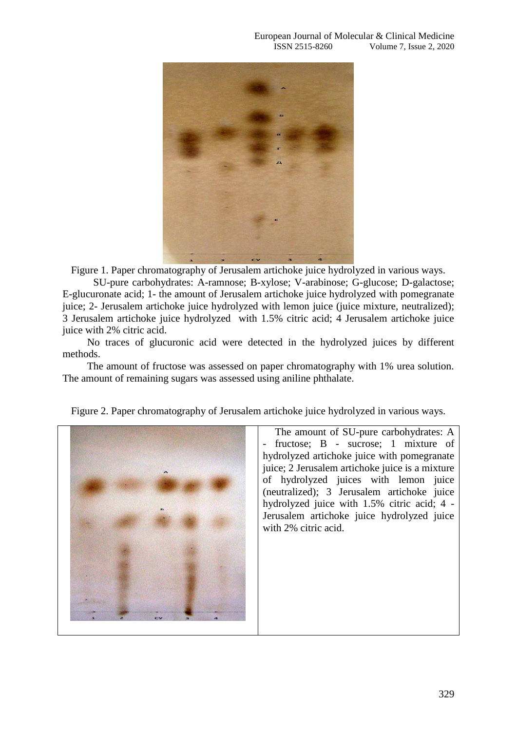

Figure 1. Paper chromatography of Jerusalem artichoke juice hydrolyzed in various ways.

SU-pure carbohydrates: A-ramnose; B-xylose; V-arabinose; G-glucose; D-galactose; E-glucuronate acid; 1- the amount of Jerusalem artichoke juice hydrolyzed with pomegranate juice; 2- Jerusalem artichoke juice hydrolyzed with lemon juice (juice mixture, neutralized); 3 Jerusalem artichoke juice hydrolyzed with 1.5% citric acid; 4 Jerusalem artichoke juice juice with 2% citric acid.

No traces of glucuronic acid were detected in the hydrolyzed juices by different methods.

The amount of fructose was assessed on paper chromatography with 1% urea solution. The amount of remaining sugars was assessed using aniline phthalate.





The amount of SU-pure carbohydrates: A fructose; B - sucrose; 1 mixture of hydrolyzed artichoke juice with pomegranate juice; 2 Jerusalem artichoke juice is a mixture of hydrolyzed juices with lemon juice (neutralized); 3 Jerusalem artichoke juice hydrolyzed juice with 1.5% citric acid; 4 - Jerusalem artichoke juice hydrolyzed juice with 2% citric acid.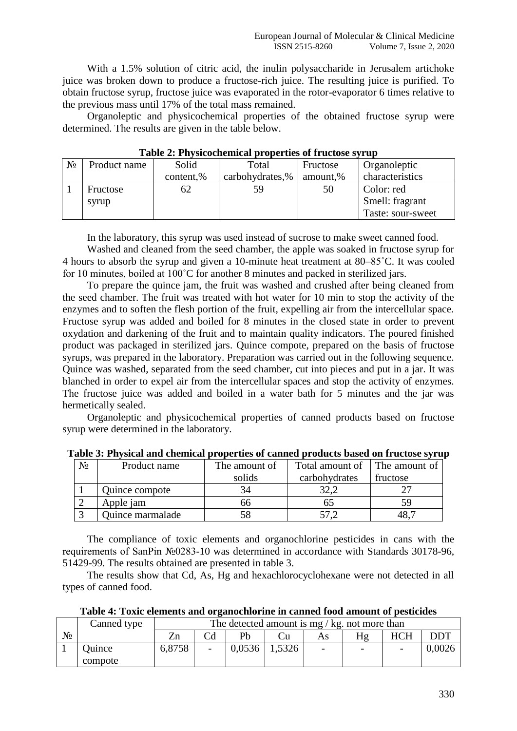With a 1.5% solution of citric acid, the inulin polysaccharide in Jerusalem artichoke juice was broken down to produce a fructose-rich juice. The resulting juice is purified. To obtain fructose syrup, fructose juice was evaporated in the rotor-evaporator 6 times relative to the previous mass until 17% of the total mass remained.

Organoleptic and physicochemical properties of the obtained fructose syrup were determined. The results are given in the table below.

|       | Tuble <b>A</b> Throicochemical properties of Hactose strup |           |                 |          |                   |  |  |  |  |  |  |  |  |
|-------|------------------------------------------------------------|-----------|-----------------|----------|-------------------|--|--|--|--|--|--|--|--|
| $N_2$ | Product name                                               | Solid     | Total           | Fructose | Organoleptic      |  |  |  |  |  |  |  |  |
|       |                                                            | content,% | carbohydrates,% | amount,% | characteristics   |  |  |  |  |  |  |  |  |
|       | Fructose                                                   | 62        | 59              | 50       | Color: red        |  |  |  |  |  |  |  |  |
|       | syrup                                                      |           |                 |          | Smell: fragrant   |  |  |  |  |  |  |  |  |
|       |                                                            |           |                 |          | Taste: sour-sweet |  |  |  |  |  |  |  |  |

**Table 2: Physicochemical properties of fructose syrup**

In the laboratory, this syrup was used instead of sucrose to make sweet canned food.

Washed and cleaned from the seed chamber, the apple was soaked in fructose syrup for 4 hours to absorb the syrup and given a 10-minute heat treatment at 80–85˚C. It was cooled for 10 minutes, boiled at 100˚C for another 8 minutes and packed in sterilized jars.

To prepare the quince jam, the fruit was washed and crushed after being cleaned from the seed chamber. The fruit was treated with hot water for 10 min to stop the activity of the enzymes and to soften the flesh portion of the fruit, expelling air from the intercellular space. Fructose syrup was added and boiled for 8 minutes in the closed state in order to prevent oxydation and darkening of the fruit and to maintain quality indicators. The poured finished product was packaged in sterilized jars. Quince compote, prepared on the basis of fructose syrups, was prepared in the laboratory. Preparation was carried out in the following sequence. Quince was washed, separated from the seed chamber, cut into pieces and put in a jar. It was blanched in order to expel air from the intercellular spaces and stop the activity of enzymes. The fructose juice was added and boiled in a water bath for 5 minutes and the jar was hermetically sealed.

Organoleptic and physicochemical properties of canned products based on fructose syrup were determined in the laboratory.

| $N_2$ | Product name     | The amount of | Total amount of   The amount of |          |
|-------|------------------|---------------|---------------------------------|----------|
|       |                  | solids        | carbohydrates                   | fructose |
|       | Quince compote   |               |                                 |          |
|       | Apple jam        | nn            |                                 |          |
|       | Quince marmalade |               |                                 |          |

**Table 3: Physical and chemical properties of canned products based on fructose syrup**

The compliance of toxic elements and organochlorine pesticides in cans with the requirements of SanPin №0283-10 was determined in accordance with Standards 30178-96, 51429-99. The results obtained are presented in table 3.

The results show that Cd, As, Hg and hexachlorocyclohexane were not detected in all types of canned food.

|    | Canned type       |        | The detected amount is mg / kg. not more than |        |        |                          |                          |            |        |  |
|----|-------------------|--------|-----------------------------------------------|--------|--------|--------------------------|--------------------------|------------|--------|--|
| N٥ |                   |        |                                               | Pb     |        | As                       |                          | <b>HCH</b> | DDT    |  |
|    | Ouince<br>compote | 6,8758 | $\overline{\phantom{a}}$                      | 0,0536 | 1,5326 | $\overline{\phantom{a}}$ | $\overline{\phantom{a}}$ |            | 0,0026 |  |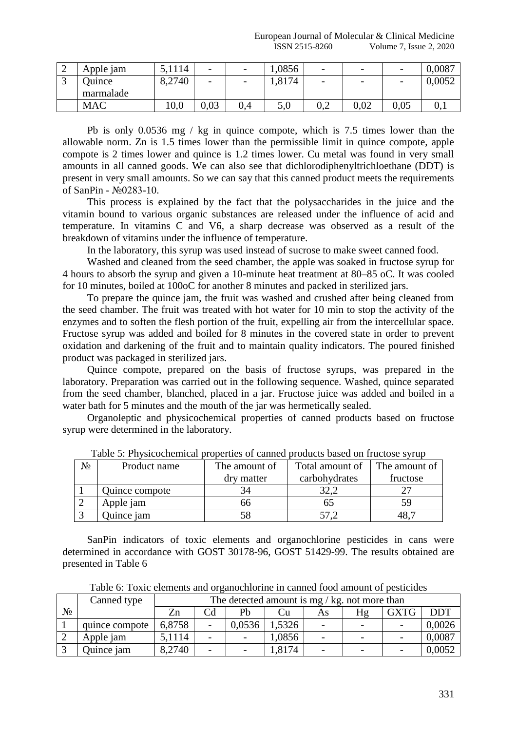| ∼  | Apple jam     | 5,1114 | $\overline{\phantom{a}}$ | $\overline{\phantom{0}}$ | 1,0856 | $\overline{\phantom{0}}$ | $\overline{\phantom{a}}$ |      | 0,0087 |
|----|---------------|--------|--------------------------|--------------------------|--------|--------------------------|--------------------------|------|--------|
| لہ | <b>Duince</b> | 8,2740 | $\overline{\phantom{0}}$ | $\overline{\phantom{0}}$ | 1,8174 | $\overline{\phantom{0}}$ | $\overline{\phantom{a}}$ |      | 0,0052 |
|    | marmalade     |        |                          |                          |        |                          |                          |      |        |
|    | <b>MAC</b>    | 10,0   | 0,03                     | 0,4                      | 5,0    | V.Z                      | 0,02                     | 0,05 | v.i    |

Pb is only 0.0536 mg / kg in quince compote, which is 7.5 times lower than the allowable norm. Zn is 1.5 times lower than the permissible limit in quince compote, apple compote is 2 times lower and quince is 1.2 times lower. Cu metal was found in very small amounts in all canned goods. We can also see that dichlorodiphenyltrichloethane (DDT) is present in very small amounts. So we can say that this canned product meets the requirements of SanPin - №0283-10.

This process is explained by the fact that the polysaccharides in the juice and the vitamin bound to various organic substances are released under the influence of acid and temperature. In vitamins C and V6, a sharp decrease was observed as a result of the breakdown of vitamins under the influence of temperature.

In the laboratory, this syrup was used instead of sucrose to make sweet canned food.

Washed and cleaned from the seed chamber, the apple was soaked in fructose syrup for 4 hours to absorb the syrup and given a 10-minute heat treatment at 80–85 oC. It was cooled for 10 minutes, boiled at 100oC for another 8 minutes and packed in sterilized jars.

To prepare the quince jam, the fruit was washed and crushed after being cleaned from the seed chamber. The fruit was treated with hot water for 10 min to stop the activity of the enzymes and to soften the flesh portion of the fruit, expelling air from the intercellular space. Fructose syrup was added and boiled for 8 minutes in the covered state in order to prevent oxidation and darkening of the fruit and to maintain quality indicators. The poured finished product was packaged in sterilized jars.

Quince compote, prepared on the basis of fructose syrups, was prepared in the laboratory. Preparation was carried out in the following sequence. Washed, quince separated from the seed chamber, blanched, placed in a jar. Fructose juice was added and boiled in a water bath for 5 minutes and the mouth of the jar was hermetically sealed.

Organoleptic and physicochemical properties of canned products based on fructose syrup were determined in the laboratory.

| No | Product name   | The amount of | Total amount of | The amount of |
|----|----------------|---------------|-----------------|---------------|
|    |                | dry matter    | carbohydrates   | fructose      |
|    | Quince compote |               |                 |               |
|    | Apple jam      |               |                 |               |
|    | Quince jam     |               |                 |               |

Table 5: Physicochemical properties of canned products based on fructose syrup

SanPin indicators of toxic elements and organochlorine pesticides in cans were determined in accordance with GOST 30178-96, GOST 51429-99. The results obtained are presented in Table 6

|  |  |  |  | Table 6: Toxic elements and organochlorine in canned food amount of pesticides |  |
|--|--|--|--|--------------------------------------------------------------------------------|--|
|  |  |  |  |                                                                                |  |

|    | Canned type    |        | The detected amount is mg / kg. not more than |        |        |                          |                          |             |            |  |  |
|----|----------------|--------|-----------------------------------------------|--------|--------|--------------------------|--------------------------|-------------|------------|--|--|
| No |                | Zn     | Cd                                            | Pb     | Ċu     | As                       | Hg                       | <b>GXTG</b> | <b>DDT</b> |  |  |
|    | quince compote | 6,8758 | $\overline{\phantom{a}}$                      | 0.0536 | ,5326  | $\overline{\phantom{0}}$ |                          |             | 0,0026     |  |  |
|    | Apple jam      | 5,1114 | $\overline{\phantom{a}}$                      |        | 1,0856 | $\overline{\phantom{0}}$ | $\overline{\phantom{0}}$ |             | 0,0087     |  |  |
|    | Quince jam     | 8,2740 | $\overline{\phantom{a}}$                      |        | 1,8174 | $\overline{\phantom{0}}$ |                          |             | 0.0052     |  |  |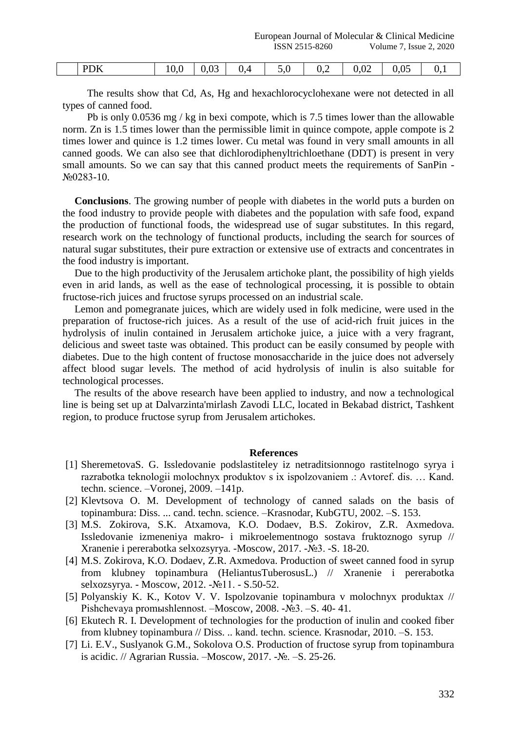| ) k<br>$\ddot{\phantom{1}}$ | v.v<br><b>.</b><br>$\sim$ | -- | v, | -<br>$\sim$ | ◡、↩ | ∪∠<br>$-$ | $\sim$ $\sim$<br>$J_{\bullet}U_{\bullet}$<br>$\check{ }$ |  |
|-----------------------------|---------------------------|----|----|-------------|-----|-----------|----------------------------------------------------------|--|

The results show that Cd, As, Hg and hexachlorocyclohexane were not detected in all types of canned food.

Pb is only 0.0536 mg / kg in bexi compote, which is 7.5 times lower than the allowable norm. Zn is 1.5 times lower than the permissible limit in quince compote, apple compote is 2 times lower and quince is 1.2 times lower. Cu metal was found in very small amounts in all canned goods. We can also see that dichlorodiphenyltrichloethane (DDT) is present in very small amounts. So we can say that this canned product meets the requirements of SanPin - №0283-10.

**Conclusions**. The growing number of people with diabetes in the world puts a burden on the food industry to provide people with diabetes and the population with safe food, expand the production of functional foods, the widespread use of sugar substitutes. In this regard, research work on the technology of functional products, including the search for sources of natural sugar substitutes, their pure extraction or extensive use of extracts and concentrates in the food industry is important.

Due to the high productivity of the Jerusalem artichoke plant, the possibility of high yields even in arid lands, as well as the ease of technological processing, it is possible to obtain fructose-rich juices and fructose syrups processed on an industrial scale.

Lemon and pomegranate juices, which are widely used in folk medicine, were used in the preparation of fructose-rich juices. As a result of the use of acid-rich fruit juices in the hydrolysis of inulin contained in Jerusalem artichoke juice, a juice with a very fragrant, delicious and sweet taste was obtained. This product can be easily consumed by people with diabetes. Due to the high content of fructose monosaccharide in the juice does not adversely affect blood sugar levels. The method of acid hydrolysis of inulin is also suitable for technological processes.

The results of the above research have been applied to industry, and now a technological line is being set up at Dalvarzinta'mirlash Zavodi LLC, located in Bekabad district, Tashkent region, to produce fructose syrup from Jerusalem artichokes.

## **References**

- [1] SheremetovaS. G. Issledovanie podslastiteley iz netraditsionnogo rastitelnogo syrya i razrabotka teknologii molochnyx produktov s ix ispolzovaniem .: Avtoref. dis. … Kand. techn. science. –Voronej, 2009. –141p.
- [2] Klevtsova O. M. Development of technology of canned salads on the basis of topinambura: Diss. ... cand. techn. science. –Krasnodar, KubGTU, 2002. –S. 153.
- [3] M.S. Zokirova, S.K. Atxamova, K.O. Dodaev, B.S. Zokirov, Z.R. Axmedova. Issledovanie izmeneniya makro- i mikroelementnogo sostava fruktoznogo syrup // Xranenie i pererabotka selxozsyrya. -Moscow, 2017. -№3. -S. 18-20.
- [4] M.S. Zokirova, K.O. Dodaev, Z.R. Axmedova. Production of sweet canned food in syrup from klubney topinambura (HeliantusTuberosusL.) // Xranenie i pererabotka selxozsyrya. - Moscow, 2012. -№11. - S.50-52.
- [5] Polyanskiy K. K., Kotov V. V. Ispolzovanie topinambura v molochnyx produktax // Pishchevaya promыshlennost. –Moscow, 2008. -№3. –S. 40- 41.
- [6] Ekutech R. I. Development of technologies for the production of inulin and cooked fiber from klubney topinambura // Diss. .. kand. techn. science. Krasnodar, 2010. –S. 153.
- [7] Li. E.V., Suslyanok G.M., Sokolova O.S. Production of fructose syrup from topinambura is acidic. // Agrarian Russia. –Moscow, 2017. -№. –S. 25-26.